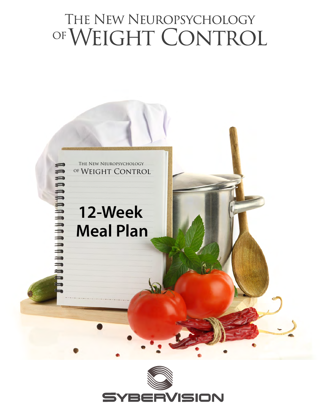# THE NEW NEUROPSYCHOLOGY OF WEIGHT CONTROL



 $\equiv$ 

annannann

# **12-Week Meal Plan**

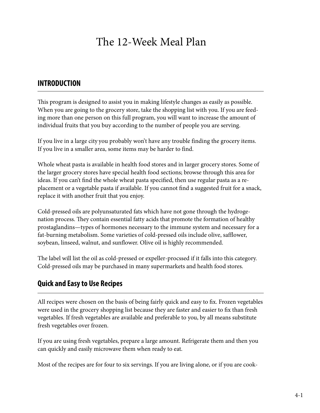## The 12-Week Meal Plan

### **INTRODUCTION**

This program is designed to assist you in making lifestyle changes as easily as possible. When you are going to the grocery store, take the shopping list with you. If you are feeding more than one person on this full program, you will want to increase the amount of individual fruits that you buy according to the number of people you are serving.

If you live in a large city you probably won't have any trouble finding the grocery items. If you live in a smaller area, some items may be harder to find.

Whole wheat pasta is available in health food stores and in larger grocery stores. Some of the larger grocery stores have special health food sections; browse through this area for ideas. If you can't find the whole wheat pasta specified, then use regular pasta as a replacement or a vegetable pasta if available. If you cannot find a suggested fruit for a snack, replace it with another fruit that you enjoy.

Cold-pressed oils are polyunsaturated fats which have not gone through the hydrogenation process. They contain essential fatty acids that promote the formation of healthy prostaglandins—types of hormones necessary to the immune system and necessary for a fat-burning metabolism. Some varieties of cold-pressed oils include olive, safflower, soybean, linseed, walnut, and sunflower. Olive oil is highly recommended.

The label will list the oil as cold-pressed or expeller-procssed if it falls into this category. Cold-pressed oils may be purchased in many supermarkets and health food stores.

### **Quick and Easy to Use Recipes**

All recipes were chosen on the basis of being fairly quick and easy to fix. Frozen vegetables were used in the grocery shopping list because they are faster and easier to fix than fresh vegetables. If fresh vegetables are available and preferable to you, by all means substitute fresh vegetables over frozen.

If you are using fresh vegetables, prepare a large amount. Refrigerate them and then you can quickly and easily microwave them when ready to eat.

Most of the recipes are for four to six servings. If you are living alone, or if you are cook-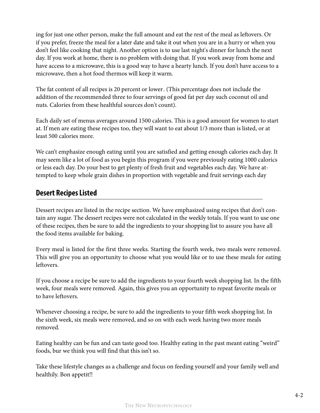ing for just one other person, make the full amount and eat the rest of the meal as leftovers. Or if you prefer, freeze the meal for a later date and take it out when you are in a hurry or when you don't feel like cooking that night. Another option is to use last night's dinner for lunch the next day. If you work at home, there is no problem with doing that. If you work away from home and have access to a microwave, this is a good way to have a hearty lunch. If you don't have access to a microwave, then a hot food thermos will keep it warm.

The fat content of all recipes is 20 percent or lower. (This percentage does not include the addition of the recommended three to four servings of good fat per day such coconut oil and nuts. Calories from these healthful sources don't count).

Each daily set of menus averages around 1500 calories. This is a good amount for women to start at. If men are eating these recipes too, they will want to eat about 1/3 more than is listed, or at least 500 calories more.

We can't emphasize enough eating until you are satisfied and getting enough calories each day. It may seem like a lot of food as you begin this program if you were previously eating 1000 calorics or less each day. Do your best to get plenty of fresh fruit and vegetables each day. We have attempted to keep whole grain dishes in proportion with vegetable and fruit servings each day

### **Desert Recipes Listed**

Dessert recipes are listed in the recipe section. We have emphasized using recipes that don't contain any sugar. The dessert recipes were not calculated in the weekly totals. If you want to use one of these recipes, then be sure to add the ingredients to your shopping list to assure you have all the food items available for baking.

Every meal is listed for the first three weeks. Starting the fourth week, two meals were removed. This will give you an opportunity to choose what you would like or to use these meals for eating leftovers.

If you choose a recipe be sure to add the ingredients to your fourth week shopping list. In the fifth week, four meals were removed. Again, this gives you an opportunity to repeat favorite meals or to have leftovers.

Whenever choosing a recipe, be sure to add the ingredients to your fifth week shopping list. In the sixth week, six meals were removed, and so on with each week having two more meals removed.

Eating healthy can be fun and can taste good too. Healthy eating in the past meant eating "weird" foods, bur we think you will find that this isn't so.

Take these lifestyle changes as a challenge and focus on feeding yourself and your family well and healthily. Bon appetit!!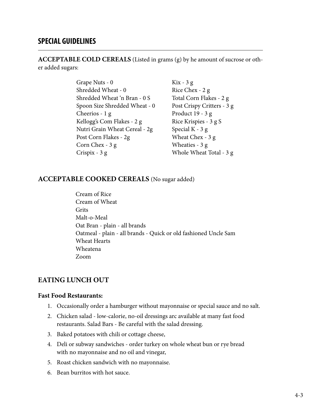### **SPECIAL GUIDELINES**

**ACCEPTABLE COLD CEREALS** (Listed in grams (g) by he amount of sucrose or other added sugars:

- Grape Nuts 0 Shredded Wheat - 0 Shredded Wheat 'n Bran - 0 S Spoon Size Shredded Wheat - 0 Cheerios - 1 g Kellogg's Com Flakes - 2 g Nutri Grain Wheat Cereal - 2g Post Corn Flakes - 2g Corn Chex - 3 g Crispix - 3 g
- Kix 3 g Rice Chex - 2 g Total Corn Flakes - 2 g Post Crispy Critters - 3 g Product 19 - 3 g Rice Krispies - 3 g S Special K - 3 g Wheat Chex - 3 g Wheaties - 3 g Whole Wheat Total - 3 g

### **ACCEPTABLE COOKED CEREALS** (No sugar added)

Cream of Rice Cream of Wheat Grits Malt-o-Meal Oat Bran - plain - all brands Oatmeal - plain - all brands - Quick or old fashioned Uncle Sam Wheat Hearts Wheatena Zoom

### **EATING LUNCH OUT**

### **Fast Food Restaurants:**

- 1. Occasionally order a hamburger without mayonnaise or special sauce and no salt.
- 2. Chicken salad low-calorie, no-oil dressings arc available at many fast food restaurants. Salad Bars - Be careful with the salad dressing.
- 3. Baked potatoes with chili or cottage cheese,
- 4. Deli or subway sandwiches order turkey on whole wheat bun or rye bread with no mayonnaise and no oil and vinegar,
- 5. Roast chicken sandwich with no mayonnaise.
- 6. Bean burritos with hot sauce.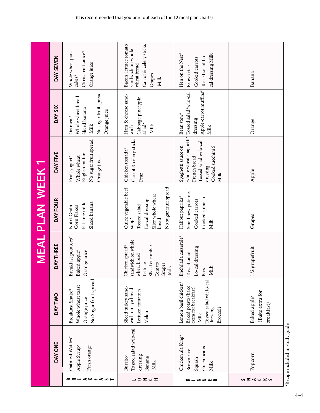|                       |                                                                             |                                                                                                                               |                                                                                                               | <b>MEAL PLAN WEEK 1</b>                                                                                                                |                                                                                                                                                      |                                                                                                        |                                                                                                       |
|-----------------------|-----------------------------------------------------------------------------|-------------------------------------------------------------------------------------------------------------------------------|---------------------------------------------------------------------------------------------------------------|----------------------------------------------------------------------------------------------------------------------------------------|------------------------------------------------------------------------------------------------------------------------------------------------------|--------------------------------------------------------------------------------------------------------|-------------------------------------------------------------------------------------------------------|
|                       | DAY ONE                                                                     | <b>DAYTWO</b>                                                                                                                 | DAY THREE                                                                                                     | DAY FOUR                                                                                                                               | DAY FIVE                                                                                                                                             | DAY SIX                                                                                                | DAY SEVEN                                                                                             |
| BREAKFAST             | Oatmeal Waffles*<br>Apple Syrup*<br>Fresh orange                            | No Sugar fruit spread<br>Whole wheat toast<br>Breakfast Shake*<br>Orange juice                                                | Breakfast potatoes*<br>Baked apple <sup>*</sup><br>Orange juice                                               | Sliced banana<br>Fat free milk<br>Corn Flakes<br>Nutri-Grain                                                                           | No sugar fruit spread<br>English muffin<br>Whole wheat<br>Fruit yogurt*<br>Orange juice                                                              | No sugar fruit spread<br>Whole wheat bread<br>Sliced banana<br>Orange juice<br>Oatmeal*<br><b>Milk</b> | Citrus fruit sauce*<br>Whole wheat pan-<br>Orange juice<br>$\text{cakes}^{\star}$                     |
| ココヱぃェ                 | Tossed salad w/lo-cal<br>dressing<br>Burrito <sup>*</sup><br>Banana<br>Milk | Sliced turkey sand-<br>wich on rye bread<br>Lettuce, tomatoes<br>Melon                                                        | sandwich on whole<br>Sliced cucumber<br>Chicken spread*<br>wheat bread<br>Lettuce<br>Tomato<br>Grapes<br>Milk | Quick vegetable beef<br>No sugar fruit spread<br>Slice whole wheat<br>Lo-cal dressing<br>Tossed salad<br>$\mathsf{sup}^\star$<br>bread | Carrot & celery sticks<br>Chicken tostada*<br>Pear                                                                                                   | Ham & cheese sand-<br>Cabbage pineapple<br>salad*<br>Milk<br>wich                                      | Carrot & celery sticks<br>Bacon, lettuce tomato<br>sandwich on whole<br>wheat bread<br>Grapes<br>Milk |
| _ z z _ <b>c</b><br>≏ | Chicken ala King*<br>Green beans<br>Brown rice<br>Squash<br>Milk            | Tossed salad wit lo-cal<br>Lemon basil chicken*<br>Baked potato (bake<br>extra for breakfast)<br>Broccoli<br>dressing<br>Milk | Enchilada casserole*<br>Lo-cal dressing<br>lossed salad<br><b>Milk</b><br>Peas<br>r,                          | Small new potatoes<br>Halibut paprika*<br>Cooked spinach<br>Cooked carrots<br>Milk                                                     | whole wheat spaghetti* Tossed salad/w lo-cal<br>Tossed salad w/lo-cal<br>Cooked zucchini S<br>Spaghetti sauce on<br>French bread<br>dressing<br>Milk | Apple-carrot muffins*<br>Bean stew <sup>*</sup><br>dressing<br>Milk                                    | Hen on the Nest <sup>*</sup><br>cal dressing Milk<br>Tossed salad Lo-<br>Cooked carrots<br>Brown rice |
| ぃ౽⋖∪≍ぃ                | Popcorn                                                                     | (Bake extra for<br>Baked apple <sup>*</sup><br>breakfast)                                                                     | ./2 grapefruit                                                                                                | Grapes                                                                                                                                 | Apple                                                                                                                                                | Orange                                                                                                 | Banana                                                                                                |
|                       | *Recipe included in study guide                                             |                                                                                                                               |                                                                                                               |                                                                                                                                        |                                                                                                                                                      |                                                                                                        |                                                                                                       |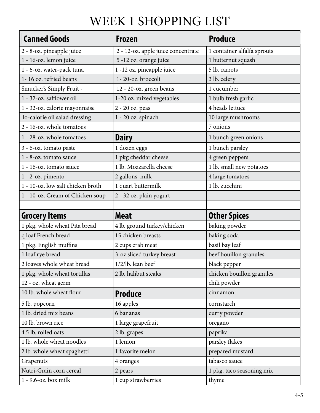## WEEK 1 SHOPPING LIST

| <b>Canned Goods</b>               | <b>Frozen</b>                      | <b>Produce</b>                       |
|-----------------------------------|------------------------------------|--------------------------------------|
| 2 - 8-oz. pineapple juice         | 2 - 12-oz. apple juice concentrate | 1 container alfalfa sprouts          |
| 1 - 16-oz. lemon juice            | 5 -12 oz. orange juice             | 1 butternut squash                   |
| 1 - 6-oz. water-pack tuna         | 1 -12 oz. pineapple juice          | 5 lb. carrots                        |
| 1-16 oz. refried beans            | 1-20-oz. broccoli                  | 3 lb. celery                         |
| Smucker's Simply Fruit -          | 12 - 20-oz. green beans            | 1 cucumber                           |
| 1 - 32-oz. safflower oil          | 1-20 oz. mixed vegetables          | 1 bulb fresh garlic                  |
| 1 - 32-oz. calorie mayonnaise     | 2 - 20 oz. peas                    | 4 heads lettuce                      |
| lo-calorie oil salad dressing     | 1 - 20 oz. spinach                 | 10 large mushrooms                   |
| 2 - 16-oz. whole tomatoes         |                                    | 7 onions                             |
| 1 - 28-oz. whole tomatoes         | <b>Dairy</b>                       | 1 bunch green onions                 |
| 3 - 6-oz. tomato paste            | 1 dozen eggs                       | 1 bunch parsley                      |
| 1 - 8-oz. tomato sauce            | 1 pkg cheddar cheese               | 4 green peppers                      |
| 1 - 16-oz. tomato sauce           | 1 lb. Mozzarella cheese            | 1 lb. small new potatoes             |
| 1 - 2-oz. pimento                 | 2 gallons milk                     | 4 large tomatoes                     |
| 1 - 10-oz. low salt chicken broth | 1 quart buttermilk                 | 1 lb. zucchini                       |
| 1 - 10-oz. Cream of Chicken soup  | 2 - 32 oz. plain yogurt            |                                      |
|                                   |                                    |                                      |
|                                   |                                    |                                      |
| <b>Grocery Items</b>              | <b>Meat</b>                        |                                      |
| 1 pkg. whole wheat Pita bread     | 4 lb. ground turkey/chicken        | <b>Other Spices</b><br>baking powder |
| q loaf French bread               | 15 chicken breasts                 | baking soda                          |
| 1 pkg. English muffins            | 2 cups crab meat                   | basil bay leaf                       |
| 1 loaf rye bread                  | 3-oz sliced turkey breast          | beef bouillon granules               |
| 2 loaves whole wheat bread        | $1/2$ /lb. lean beef               | black pepper                         |
| 1 pkg. whole wheat tortillas      | 2 lb. halibut steaks               | chicken bouillon granules            |
| 12 - oz. wheat germ               |                                    | chili powder                         |
| 10 lb. whole wheat flour          | <b>Produce</b>                     | cinnamon                             |
| 5 lb. popcorn                     | 16 apples                          | cornstarch                           |
| 1 lb. dried mix beans             | 6 bananas                          | curry powder                         |
| 10 lb. brown rice                 | 1 large grapefruit                 | oregano                              |
| 4.5 lb. rolled oats               | 2 lb. grapes                       | paprika                              |
| 1 lb. whole wheat noodles         | 1 lemon                            | parsley flakes                       |
| 2 lb. whole wheat spaghetti       | 1 favorite melon                   | prepared mustard                     |
| Grapenuts                         | 4 oranges                          | tabasco sauce                        |
| Nutri-Grain corn cereal           | 2 pears                            | 1 pkg. taco seasoning mix            |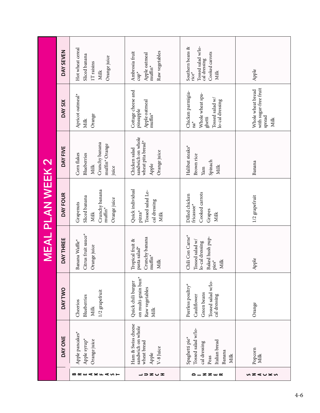|                         | DAY SEVEN      | Hot wheat cereal<br>Sliced banana<br>Orange juice<br><b>IT</b> raisins<br>Milk  | Raw vegetables<br>Ambrosia fruit<br>Apple oatmeal<br>$muffn^*$<br>$\mathsf{cup}^\star$ | Tossed salad w/lo-<br>Southern beans &<br>rice*<br>Cooked carrots<br>cal dressing<br>Milk                    | Apple                                                        |
|-------------------------|----------------|---------------------------------------------------------------------------------|----------------------------------------------------------------------------------------|--------------------------------------------------------------------------------------------------------------|--------------------------------------------------------------|
|                         | DAY SIX        | Apricot oatmeal*<br>Orange<br>Milk                                              | Cottage cheese and<br>Apple oatmeal<br>muffin*<br>pineapple                            | Chicken parmigia-<br>Whole wheat spa-<br>ghetti<br>Tossed salad w/<br>lo-cal dressing<br>$\mathrm{na}^\star$ | with sugar-free fruit<br>Whole wheat bread<br>spread<br>Milk |
|                         | DAY FIVE       | Crunchy banana<br>muffin* Orange<br>Corn flakes<br>Blueberries<br>Milk<br>juice | sandwich on whole<br>wheat pita bread*<br>Chicken salad<br>Orange juice<br>Apple       | Halibut steaks*<br>Brown rice<br>Spinach<br>Milk<br>Yam                                                      | Banana                                                       |
| <b>MEAL PLAN WEEK 2</b> | DAY FOUR       | Crunchy banana<br>muffin*<br>Sliced banana<br>Orange juice<br>Grapenuts<br>Milk | Quick individual<br>Tossed salad Lo-<br>cal dressing<br>pizza*<br>Milk                 | Cooked carrots<br>Dilled chicken<br>fricassee*<br>Grapes<br>Milk                                             | 1/2 grapefruit                                               |
|                         | DAY THREE      | Citrus fruit sauce*<br>Banana Waffle <sup>*</sup><br>Orange juice               | Crunchy banana<br>muffin*<br>Tropical fruit &<br>pasta salad*<br>Milk                  | Chili Con Carne*<br>Baked hush pup-<br>Tossed salad w/<br>lo-cal dressing<br>Milk<br>$\rm{pies}^{\star}$     | Apple                                                        |
|                         | <b>DAY TWO</b> | 1/2 grapefruit<br>Blueberries<br>Cheerios<br>Milk                               | on multi-grain bun <sup>*</sup><br>Quick chili burger<br>Raw vegetables<br>Milk        | Tossed salad w/lo-<br>Peerless poultry*<br>Green beans<br>cal dressing<br>Cauliflower                        | Orange                                                       |
|                         | DAY ONE        | Apple pancakes*<br>Apple syrup*<br>Orange juice                                 | Ham & Swiss cheese<br>sandwich on whole<br>wheat bread<br>$V-8$ Juice<br>Apple         | Tossed salad w/lo-<br>Spaghetti pie <sup>*</sup><br>Italian bread<br>cal dressing<br>Banana<br>Milk<br>Peas  | Popcorn<br>Milk                                              |
|                         |                | $\leq$ 5 $\vdash$<br>≃≃<br>⋖≚≖                                                  | ヱ∪ェ<br>∍                                                                               | <b>ZZW</b>                                                                                                   | z<br>⋖∪≚ທ                                                    |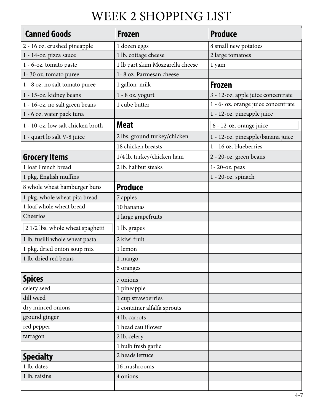## WEEK 2 SHOPPING LIST

| <b>Canned Goods</b>               | Frozen                           | <b>Produce</b>                      |
|-----------------------------------|----------------------------------|-------------------------------------|
| 2 - 16 oz. crushed pineapple      | 1 dozen eggs                     | 8 small new potatoes                |
| 1 - 14-oz. pizza sauce            | 1 lb. cottage cheese             | 2 large tomatoes                    |
| 1 - 6-oz. tomato paste            | 1 lb part skim Mozzarella cheese | 1 yam                               |
| 1-30 oz. tomato puree             | 1-8 oz. Parmesan cheese          |                                     |
| 1 - 8 oz. no salt tomato puree    | 1 gallon milk                    | Frozen                              |
| 1 - 15-oz. kidney beans           | $1 - 8$ oz. yogurt               | 3 - 12-oz. apple juice concentrate  |
| 1 - 16-oz. no salt green beans    | 1 cube butter                    | 1 - 6- oz. orange juice concentrate |
| 1 - 6 oz. water pack tuna         |                                  | 1 - 12-oz. pineapple juice          |
| 1 - 10-oz. low salt chicken broth | <b>Meat</b>                      | 6 - 12-oz. orange juice             |
| 1 - quart lo salt V-8 juice       | 2 lbs. ground turkey/chicken     | 1 - 12-oz. pineapple/banana juice   |
|                                   | 18 chicken breasts               | 1 - 16 oz. blueberries              |
| <b>Grocery Items</b>              | 1/4 lb. turkey/chicken ham       | 2 - 20-oz. green beans              |
| 1 loaf French bread               | 2 lb. halibut steaks             | 1-20-oz. peas                       |
| 1 pkg. English muffins            |                                  | 1 - 20-oz. spinach                  |
| 8 whole wheat hamburger buns      | <b>Produce</b>                   |                                     |
| 1 pkg. whole wheat pita bread     | 7 apples                         |                                     |
| 1 loaf whole wheat bread          | 10 bananas                       |                                     |
| Cheerios                          | 1 large grapefruits              |                                     |
| 2 1/2 lbs. whole wheat spaghetti  | 1 lb. grapes                     |                                     |
| 1 lb. fusilli whole wheat pasta   | 2 kiwi fruit                     |                                     |
| 1 pkg. dried onion soup mix       | 1 lemon                          |                                     |
| 1 lb. dried red beans             | 1 mango                          |                                     |
|                                   | 5 oranges                        |                                     |
| <b>Spices</b>                     | 7 onions                         |                                     |
| celery seed                       | 1 pineapple                      |                                     |
| dill weed                         | 1 cup strawberries               |                                     |
| dry minced onions                 | 1 container alfalfa sprouts      |                                     |
| ground ginger                     | 4 lb. carrots                    |                                     |
| red pepper                        | 1 head cauliflower               |                                     |
| tarragon                          | 2 lb. celery                     |                                     |
|                                   | 1 bulb fresh garlic              |                                     |
| <b>Specialty</b>                  | 2 heads lettuce                  |                                     |
| 1 lb. dates                       | 16 mushrooms                     |                                     |
| 1 lb. raisins                     | 4 onions                         |                                     |
|                                   |                                  |                                     |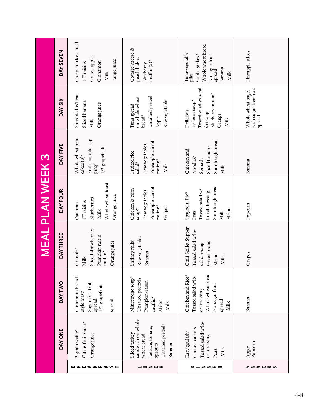|                         | DAY SEVEN     | Cream of rice cereal<br>Grated apple<br>range juice<br>Cinnamon<br>1 T raisins<br>Milk              | Cottage cheese &<br>peach halves<br>muffin $(2)^*$<br>Blueberry                                                 | Whole wheat bread<br>Tuna-vegetable<br>pilaf*<br>Cabbage slaw*<br>No-sugar fruit<br>spread<br>Banana<br>Milk     | Pineapple slices                                                                  |
|-------------------------|---------------|-----------------------------------------------------------------------------------------------------|-----------------------------------------------------------------------------------------------------------------|------------------------------------------------------------------------------------------------------------------|-----------------------------------------------------------------------------------|
|                         | DAY SIX       | Shredded Wheat<br>Sliced banana<br>Orange juice<br>Milk                                             | Unsalted pretzel<br>on whole wheat<br>Raw vegetable<br>Tuna spread<br>$break^*$<br>Apple                        | Tossed salad w/o-cal<br>Blueberry muffin*<br>15-bean soup*<br>Delicious<br>dressing<br>Orange<br>Milk            | with sugar-free fruit<br>  with sugar-free fruit<br>  spread<br>Whole wheat bagel |
|                         | DAY FIVE      | Fruit pancake top-<br>Whole wheat pan-<br>1/2 grapefruit<br>$\text{cakes} (3)^*$<br>ping*           | Pineapple-carrot<br>Raw vegetables<br>Fruited rice<br>$muffin^*$<br>sala $d^*$<br>Milk                          | Sourdough bread<br>Sliced tomato<br>Chicken and<br>Noodles*<br>Spinach<br>Milk                                   | Banana                                                                            |
| <b>MEAL PLAN WEEK 3</b> | DAY FOUR      | Whole wheat toast<br>Orange juice<br>Blueberries<br>$1T$ raisins<br>Oat bran<br>Milk                | Pineapple-carrot<br>Chicken & corn<br>Raw vegetables<br>$\text{multin}^\star$<br>Grapes<br>$\mathsf{sup}^\star$ | Sourdough bread<br>Tossed salad w/<br>lo-cal dressing<br>Spaghetti Pie <sup>*</sup><br>Melon<br>Milk<br>Peas     | Popcorn                                                                           |
|                         | DAY THREE     | Sliced strawberries<br>Pumpkin raisin<br>Orange juice<br>Granola <sup>*</sup><br>$muffin^*$<br>Milk | Raw vegetables<br>Shrimp rolls*<br>Banana                                                                       | Chili Skillet Supper*<br>Tossed salad w/lo-<br>Green beans<br>cal dressing<br>Melon<br><b>Milk</b>               | Grapes                                                                            |
|                         | <b>DAYTWO</b> | Cinnamon French<br>Sugar-free fruit<br>$1/2$ grapefruit<br>style toast*<br>spread<br>spread         | Minestrone soup*<br>Unsalted pretzels<br>Pumpkin-raisin<br>$muffin^*$<br>Melon<br>Milk                          | Whole wheat bread<br>Chicken and Rice*<br>Tossed salad w/lo-<br>No-sugar fruit<br>cal dressing<br>spread<br>Milk | Banana                                                                            |
|                         | DAY ONE       | Citrus fruit sauce*<br>3 grain waffle*<br>Orange juice                                              | sandwich on whole<br>Unsalted pretzels<br>Lettuce, tomato,<br>Sliced turkey<br>wheat bread<br>sprouts<br>Banana | Tossed salad w/lo-<br>Cooked carrots<br>Easy goulash*<br>cal dressing<br>Milk<br>Peas                            | Apple<br>Popcorn                                                                  |
|                         |               | <b>BREAKFAST</b>                                                                                    | ココヱぃェ                                                                                                           | <b>ZZW</b>                                                                                                       | ぃz⋖∪⊻ぃ                                                                            |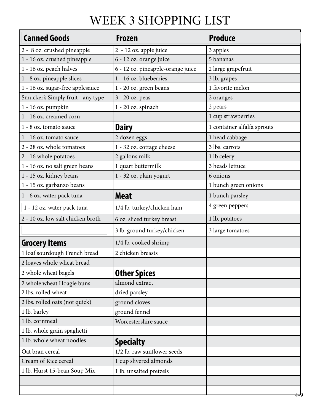## WEEK 3 SHOPPING LIST

| <b>Canned Goods</b>               | <b>Frozen</b>                     | <b>Produce</b>              |
|-----------------------------------|-----------------------------------|-----------------------------|
| 2 - 8 oz. crushed pineapple       | 2 - 12 oz. apple juice            | 3 apples                    |
| 1 - 16 oz. crushed pineapple      | 6 - 12 oz. orange juice           | 5 bananas                   |
| 1 - 16 oz. peach halves           | 6 - 12 oz. pineapple-orange juice | 2 large grapefruit          |
| 1 - 8 oz. pineapple slices        | 1 - 16 oz. blueberries            | 3 lb. grapes                |
| 1 - 16 oz. sugar-free applesauce  | 1 - 20 oz. green beans            | 1 favorite melon            |
| Smucker's Simply fruit - any type | 3 - 20 oz. peas                   | 2 oranges                   |
| 1 - 16 oz. pumpkin                | 1 - 20 oz. spinach                | 2 pears                     |
| 1 - 16 oz. creamed corn           |                                   | 1 cup strawberries          |
| 1 - 8 oz. tomato sauce            | <b>Dairy</b>                      | 1 container alfalfa sprouts |
| 1 - 16 oz. tomato sauce           | 2 dozen eggs                      | 1 head cabbage              |
| 2 - 28 oz. whole tomatoes         | 1 - 32 oz. cottage cheese         | 3 lbs. carrots              |
| 2 - 16 whole potatoes             | 2 gallons milk                    | 1 lb celery                 |
| 1 - 16 oz. no salt green beans    | 1 quart buttermilk                | 3 heads lettuce             |
| 1 - 15 oz. kidney beans           | 1 - 32 oz. plain yogurt           | 6 onions                    |
| 1 - 15 oz. garbanzo beans         |                                   | 1 bunch green onions        |
| 1 - 6 oz. water pack tuna         | <b>Meat</b>                       | 1 bunch parsley             |
| 1 - 12 oz. water pack tuna        | 1/4 lb. turkey/chicken ham        | 4 green peppers             |
| 2 - 10 oz. low salt chicken broth | 6 oz. sliced turkey breast        | 1 lb. potatoes              |
|                                   | 3 lb. ground turkey/chicken       | 3 large tomatoes            |
| <b>Grocery Items</b>              | 1/4 lb. cooked shrimp             |                             |
| 1 loaf sourdough French bread     | 2 chicken breasts                 |                             |
| 2 loaves whole wheat bread        |                                   |                             |
| 2 whole wheat bagels              | <b>Other Spices</b>               |                             |
| 2 whole wheat Hoagie buns         | almond extract                    |                             |
| 2 lbs. rolled wheat               | dried parsley                     |                             |
| 2 lbs. rolled oats (not quick)    | ground cloves                     |                             |
| 1 lb. barley                      | ground fennel                     |                             |
| 1 lb. cornmeal                    | Worcestershire sauce              |                             |
| 1 lb. whole grain spaghetti       |                                   |                             |
| 1 lb. whole wheat noodles         | <b>Specialty</b>                  |                             |
| Oat bran cereal                   | 1/2 lb. raw sunflower seeds       |                             |
| Cream of Rice cereal              | 1 cup slivered almonds            |                             |
| 1 lb. Hurst 15-bean Soup Mix      | 1 lb. unsalted pretzels           |                             |
|                                   |                                   |                             |
|                                   |                                   |                             |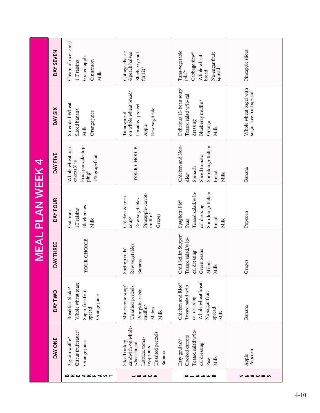|                  |                                                                                                                   |                                                                                                                  |                                                                                             | <b>MEAL PLAN WEEK 4</b>                                                                                        |                                                                                                                 |                                                                                                     |                                                                                                               |
|------------------|-------------------------------------------------------------------------------------------------------------------|------------------------------------------------------------------------------------------------------------------|---------------------------------------------------------------------------------------------|----------------------------------------------------------------------------------------------------------------|-----------------------------------------------------------------------------------------------------------------|-----------------------------------------------------------------------------------------------------|---------------------------------------------------------------------------------------------------------------|
|                  | DAY ONE                                                                                                           | <b>DAY TWO</b>                                                                                                   | <b>DAY THREE</b>                                                                            | DAY FOUR                                                                                                       | DAY FIVE                                                                                                        | DAY SIX                                                                                             | DAY SEVEN                                                                                                     |
| <b>BREAKFAST</b> | Citrus fruit sauce*<br>3 grain waffle*<br>Orange juice                                                            | Whole wheat toast<br>Breakfast Shake*<br>Sugar-free fruit<br>Orange juice<br>spread                              | YOUR CHOICE                                                                                 | Blueberries<br>$1\mathsf{T}$ raisins<br>Oat bran<br>Milk                                                       | Whole wheat pan-<br>Fruit pancake top-<br>1/2 grapefruit<br>cakes $(3)$ <sup>*</sup> s<br>$\mathrm{ping}^\star$ | Shredded Wheat<br>Sliced banana<br>Orange juice<br>Milk                                             | Cream of rice cereal<br>Grated apple<br>Cinnamon<br>$1\ {\rm T}$ raisins<br>Milk                              |
| 」コヱ∪エ            | sandwich on whole-<br>Unsalted pretzels<br>Lettuce, toma-<br>Sliced turkey<br>wheat bread<br>to,sprouts<br>Banana | Minestrone soup*<br>Unsalted pretzels<br>Pumpkin-raisin<br>$muffin*$<br>Melon<br>Milk                            | Raw vegetables<br>Shrimp rolls*<br>Banana                                                   | Pineapple-carrot-<br>Chicken & corn-<br>Raw vegetables<br>$\text{multin}^\star$<br>Grapes<br>$sup^*$           | YOUR CHOICE                                                                                                     | on whole wheat bread*<br>Unsalted pretzel<br>Raw vegetable<br>Tuna spread<br>Apple                  | Blueberry muf-<br>fm $(2)^*$<br>Cottage cheese<br>&peach halves                                               |
| <b>ZZW</b>       | Tossed salad w/lo-<br>Cooked carrots<br>Easy goulash*<br>cal dressing<br>Milk<br>Peas                             | Whole wheat bread<br>Chicken and Rice*<br>Tossed salad w/lo-<br>No-sugar fruit<br>cal dressing<br>spread<br>Milk | Chili Skillet Supper*<br>Tossed salad/w lo-<br>Green beans<br>cal dressing<br>Melon<br>Milk | Tossed salad/w lo-<br>Sourdough Italian<br>Spaghetti Pie <sup>*</sup><br>cal dressing<br>bread<br>Peas<br>Milk | Chicken and Noo-<br>Sourdough Italian<br>Sliced tomato<br>Spinach<br>bread<br>$dles^*$<br>Milk                  | Delicious 15-bean soup*<br>Tossed salad w/lo-cal<br>Blueberry muffin*<br>dressing<br>Orange<br>Milk | Tuna-vegetable<br>Cabbage slaw*<br>No-sugar fruit<br>spread<br>Whole wheat<br>bread<br>$\mathrm{pilaf}^\star$ |
| ぃヱ⊄∪⊻ぃ           | Popcorn<br>Apple                                                                                                  | Banana                                                                                                           | Grapes                                                                                      | Popcorn                                                                                                        | Banana                                                                                                          | Whole wheat bagel with<br>sugar-free fruit spread                                                   | Pineapple slices                                                                                              |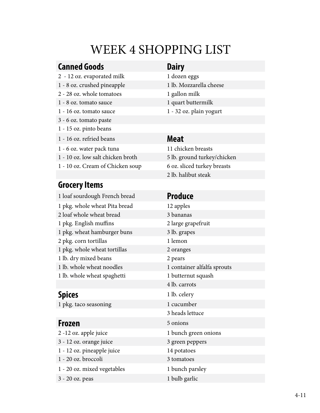## WEEK 4 SHOPPING LIST

### **Canned Goods Dairy**

- 2 12 oz. evaporated milk 1 dozen eggs
- 1 8 oz. crushed pineapple 1 lb. Mozzarella cheese
- 2 28 oz. whole tomatoes 1 gallon milk
- 1 8 oz. tomato sauce 1 quart buttermilk
- 1 16 oz. tomato sauce 1 32 oz. plain yogurt
- 3 6 oz. tomato paste
- 1 15 oz. pinto beans
- 1 16 oz. refried beans **Meat**
- 1 6 oz. water pack tuna 11 chicken breasts
- 1 10 oz. low salt chicken broth 5 lb. ground turkey/chicken
- 1 10 oz. Cream of Chicken soup 6 oz. sliced turkey breasts

### **Grocery Items**

1 loaf sourdough French bread **Produce** 1 pkg. whole wheat Pita bread 12 apples 2 loaf whole wheat bread 3 bananas 1 pkg. English muffins 2 large grapefruit 1 pkg. wheat hamburger buns 3 lb. grapes 2 pkg. corn tortillas 1 lemon 1 pkg. whole wheat tortillas 2 oranges 1 lb. dry mixed beans 2 pears 1 lb. whole wheat noodles 1 container alfalfa sprouts 1 lb. whole wheat spaghetti 1 butternut squash

1 pkg. taco seasoning 1 cucumber

2 -12 oz. apple juice 1 bunch green onions 3 - 12 oz. orange juice 3 green peppers 1 - 12 oz. pineapple juice 14 potatoes 1 - 20 oz. broccoli 3 tomatoes 1 - 20 oz. mixed vegetables 1 bunch parsley 3 - 20 oz. peas 1 bulb garlic

- 
- 

2 lb. halibut steak

4 lb. carrots **Spices** 1 lb. celery 3 heads lettuce **Frozen** 5 onions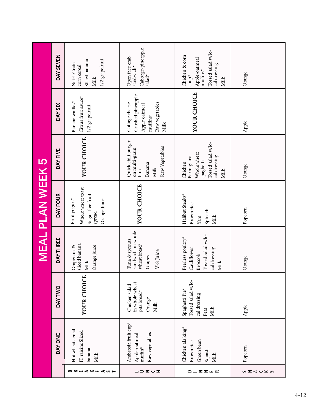|                   |                                                                                                                                                                                                                                                                                                                                                                                                                                                                                                                                                                                                                                                                                                                                     |                                                                                  |                                                                                            | <b>MEAL PLAN WEEK 5</b>                                                          |                                                                                                 |                                                                                              |                                                                                                                       |
|-------------------|-------------------------------------------------------------------------------------------------------------------------------------------------------------------------------------------------------------------------------------------------------------------------------------------------------------------------------------------------------------------------------------------------------------------------------------------------------------------------------------------------------------------------------------------------------------------------------------------------------------------------------------------------------------------------------------------------------------------------------------|----------------------------------------------------------------------------------|--------------------------------------------------------------------------------------------|----------------------------------------------------------------------------------|-------------------------------------------------------------------------------------------------|----------------------------------------------------------------------------------------------|-----------------------------------------------------------------------------------------------------------------------|
|                   | DAY ONE                                                                                                                                                                                                                                                                                                                                                                                                                                                                                                                                                                                                                                                                                                                             | <b>DAYTWO</b>                                                                    | DAY THREE                                                                                  | DAY FOUR                                                                         | DAY FIVE                                                                                        | DAY SIX                                                                                      | DAY SEVEN                                                                                                             |
| BREAKFAST         | Hot wheat cereal<br>IT raisins Sliced<br>banana<br>Milk                                                                                                                                                                                                                                                                                                                                                                                                                                                                                                                                                                                                                                                                             | YOUR CHOICE                                                                      | sliced banana<br>Orange juice<br>Grapenuts &<br>Milk                                       | Whole wheat toast<br>Sugar-free fruit<br>Fruit yogurt*<br>Orange Juice<br>spread | YOUR CHOICE                                                                                     | Citrus fruit sauce*<br>Banana waffles*<br>$1/2$ grapefruit                                   | 1/2 grapefruit<br>Sliced banana<br>Nutri-Grain<br>corn cereal<br>Milk                                                 |
| ココヱ∪ェ             | Ambrosia fruit cup <sup>*</sup><br>Raw vegetables<br>${\large \bf Apple\mbox{-}otmcal} \\ {\large \bf mult} \\ {\large \bf mult} \\ {\large \bf mult} \\ {\large \bf mult} \\ {\large \bf mult} \\ {\large \bf mult} \\ {\large \bf mult} \\ {\large \bf mult} \\ {\large \bf mult} \\ {\large \bf mult} \\ {\large \bf mult} \\ {\large \bf mult} \\ {\large \bf mult} \\ {\large \bf mult} \\ {\large \bf mult} \\ {\large \bf mult} \\ {\large \bf mult} \\ {\large \bf mult} \\ {\large \bf mult} \\ {\large \bf mult} \\ {\large \bf mult} \\ {\large \bf mult} \\ {\large \bf mult} \\ {\large \bf mult} \\ {\large \bf mult} \\ {\large \bf mult} \\ {\large \bf mult} \\ {\large \bf mult} \\ {\large \bf mult} \\ {\large$ | in whole wheat<br>Chicken salad<br>pita bread*<br>Orange<br>Milk                 | sandwich on whole<br>Tuna & sprouts<br>wheat bread*<br>V-8 Juice<br>Grapes                 | YOUR CHOICE                                                                      | Quick chili burger<br>Raw Vegetables<br>on multi-grain<br>Banana<br>Milk<br>$_{\text{run}}$     | Crushed pineapple<br>Raw vegetables<br>Cottage cheese<br>Apple oatmeal<br>$mutfins*$<br>Milk | $\begin{array}{ll} \mathrm{Cabbage\text{-}pincaple} \\ \mathrm{sad}^\star \end{array}$<br>Open face crab<br>sandwich* |
| <b>ZZW</b><br>≏ – | Chicken ala king*<br>Green bean<br>Brown rice<br>Squash<br>Milk                                                                                                                                                                                                                                                                                                                                                                                                                                                                                                                                                                                                                                                                     | Tossed salad w/lo-<br>Spaghetti Pie <sup>*</sup><br>cal dressing<br>Milk<br>Peas | Tossed salad w/lo-<br>Peerless poultry*<br>Cauliflower<br>cal dressing<br>Broccoli<br>Milk | Halibut Steaks*<br>Brown rice<br>Spinach<br>Milk<br>Yam                          | Tossed salad w/lo-<br>Whole wheat<br>cal dressing<br>Parmigiana<br>spaghetti<br>Chicken<br>Milk | YOUR CHOICE                                                                                  | Tossed salad w/lo-<br>Chicken & corn<br>Apple-oatmeal<br>cal dressing<br>$muffins*$<br>$^{\star}$ dnos<br>Milk        |
| ぃ౽⋖∪≚ぃ            | Popcorn                                                                                                                                                                                                                                                                                                                                                                                                                                                                                                                                                                                                                                                                                                                             | Apple                                                                            | Orange                                                                                     | Popcorn                                                                          | Orange                                                                                          | Apple                                                                                        | Orange                                                                                                                |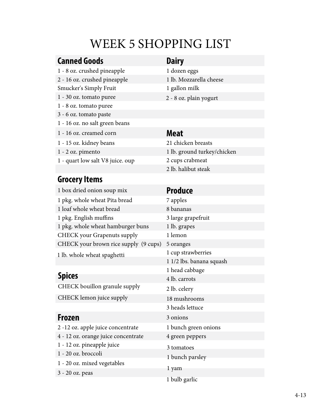## WEEK 5 SHOPPING LIST

### **Canned Goods Dairy**

1 - 8 oz. crushed pineapple 1 dozen eggs 2 - 16 oz. crushed pineapple 1 lb. Mozzarella cheese Smucker's Simply Fruit 1 gallon milk 1 - 30 oz. tomato puree 1 - 8 oz. tomato puree 3 - 6 oz. tomato paste 1 - 16 oz. no salt green beans 1 - 16 oz. creamed corn **Meat** 1 - 15 oz. kidney beans 21 chicken breasts

- 
- 1 quart low salt V8 juice. oup 2 cups crabmeat

### **Grocery Items**

### <sup>1</sup>box dried onion soup mix **Produce** 1 pkg. whole wheat Pita bread 7 apples 1 loaf whole wheat bread 8 bananas 1 pkg. English muffins 3 large grapefruit 1 pkg. whole wheat hamburger buns 1 lb. grapes CHECK your Grapenuts supply 1 lemon CHECK your brown rice supply (9 cups) 5 oranges

1 lb. whole wheat spaghetti

CHECK bouillon granule supply 2 lb. celery

- 
- 
- 1 12 oz. pineapple juice
- 1 20 oz. broccoli
- 1 20 oz. mixed vegetables
- 3 20 oz. peas

- 
- 
- 
- 2 8 oz. plain yogurt

1 - 2 oz. pimento 1 lb. ground turkey/chicken 2 lb. halibut steak

1 cup strawberries 1 1/2 lbs. banana squash 1 head cabbage **Spices** 4 lb. carrots 18 mushrooms 3 heads lettuce **Frozen** 3 onions 2 -12 oz. apple juice concentrate 1 bunch green onions 4 - 12 oz. orange juice concentrate 4 green peppers 3 tomatoes 1 bunch parsley 1 bulb garlic 1 yam CHECK lemon juice supply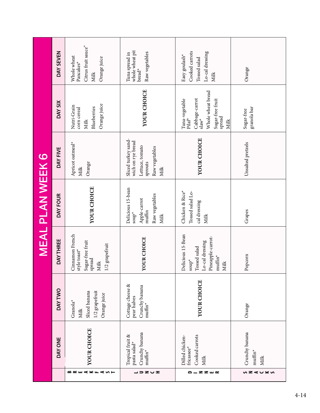|                      |                                                                               |                                                                                   |                                                                                                                                    | <b>MEAL PLAN WEEK 6</b>                                                                       |                                                                                                  |                                                                                                                |                                                                            |
|----------------------|-------------------------------------------------------------------------------|-----------------------------------------------------------------------------------|------------------------------------------------------------------------------------------------------------------------------------|-----------------------------------------------------------------------------------------------|--------------------------------------------------------------------------------------------------|----------------------------------------------------------------------------------------------------------------|----------------------------------------------------------------------------|
|                      | DAY ONE                                                                       | <b>DAYTWO</b>                                                                     | DAY THREE                                                                                                                          | DAY FOUR                                                                                      | DAY FIVE                                                                                         | DAY SIX                                                                                                        | DAY SEVEN                                                                  |
| BREAKFAST            | YOUR CHOICE                                                                   | $1/2$ grapefruit<br>Sliced banana<br>Orange juice<br>Granola <sup>*</sup><br>Milk | Cinnamon French<br>Sugar-free fruit<br>1/2 grapefruit<br>style toast*<br>spread<br>Milk                                            | YOUR CHOICE                                                                                   | Apricot oatmeal*<br>Orange<br>Milk                                                               | Orange juice<br>Nutri-Grain<br>Blueberries<br>corn cereal<br>Milk                                              | Citrus fruit sauce"<br>Whole wheat<br>Orange juice<br>Pancakes*<br>Milk    |
| ヱ∪ェ<br>$\Rightarrow$ | Crunchy banana<br>Tropical fruit &<br>pasta salad*<br>$\text{multin}^{\star}$ | Cottage cheese &<br>Crunchy banana<br>pear halves<br>$muffin*$                    | YOUR CHOICE                                                                                                                        | Delicious 15-bean<br>Raw vegetables<br>Apple-carrot<br>muffin<br>$\mathsf{sup}^\star$<br>Milk | Sliced turkey sand-<br>wich on rye bread<br>Lettuce, tomato<br>Raw vegetables<br>sprouts<br>Milk | YOUR CHOICE                                                                                                    | whole wheat pit<br>Raw vegetables<br>Tuna spread in<br>$break*$            |
| ρ.<br><b>ZZW</b> ~   | Cooked carrots<br>Dilled chicken-<br>fricassee*<br>Milk                       | YOUR CHOICE                                                                       | Delicious 15-Bean<br>Pineapple-carrot-<br>Lo-cal dressing<br>Tossed salad<br>$\text{multin}^\star$<br>$\mathsf{sup}^\star$<br>Milk | Chicken & Rice*<br>Tossed salad Lo-<br>cal dressing<br>Milk                                   | YOUR CHOICE                                                                                      | Whole wheat bread<br>Cabbage-carrot<br>slaw*<br>Tuna-vegetable<br>Pilaf*<br>Sugar-free fruit<br>spread<br>Milk | Cooked carrots<br>Lo-cal dressing<br>Easy goulash*<br>Tossed salad<br>Milk |
| ぃZくしな                | Crunchy banana<br>$muffin*$<br>Milk                                           | Orange                                                                            | Popcorn                                                                                                                            | Grapes                                                                                        | Unsalted pretzels                                                                                | granola bar<br>Sugar-free                                                                                      | Orange                                                                     |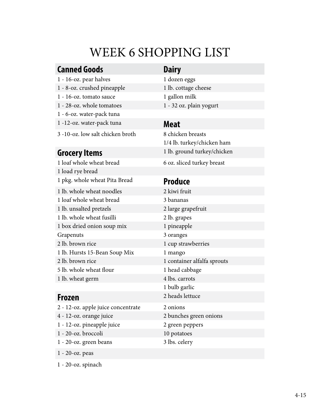## WEEK 6 SHOPPING LIST

### **Canned Goods Dairy**

- 1 16-oz. pear halves 1 dozen eggs
- 1 8-oz. crushed pineapple 1 lb. cottage cheese
- 1 16-oz. tomato sauce 1 gallon milk
- 1 28-oz. whole tomatoes 1 32 oz. plain yogurt
- 1 6-oz. water-pack tuna
- 1 -12-oz. water-pack tuna **Meat**
- 3 -10-oz. low salt chicken broth 8 chicken breasts

1 loaf whole wheat bread 6 oz. sliced turkey breast 1 load rye bread 1 pkg. whole wheat Pita Bread **Produce** 1 lb. whole wheat noodles 2 kiwi fruit 1 loaf whole wheat bread 3 bananas 1 lb. unsalted pretzels 2 large grapefruit 1 lb. whole wheat fusilli 2 lb. grapes 1 box dried onion soup mix 1 pineapple Grapenuts 3 oranges 2 lb. brown rice 1 cup strawberries 1 lb. Hursts 15-Bean Soup Mix 1 mango 2 lb. brown rice 1 container alfalfa sprouts 5 lb. whole wheat flour 1 head cabbage 1 lb. wheat germ 4 lbs. carrots

2 - 12-oz. apple juice concentrate 2 onions 4 - 12-oz. orange juice 1 - 12-oz. pineapple juice 2 green peppers 1 - 20-oz. broccoli 10 potatoes 1 - 20-oz. green beans 3 lbs. celery

1/4 lb. turkey/chicken ham **Grocery Items** 1 lb. ground turkey/chicken

1 bulb garlic **Frozen** 2 heads lettuce 2 bunches green onions

1 - 20-oz. peas

1 - 20-oz. spinach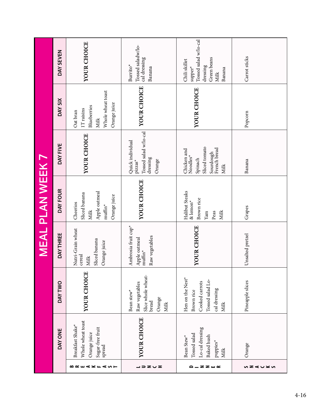|                         | DAY SEVEN     | YOUR CHOICE                                                                         | Tossed saladw/lo-<br>cal dressing<br>Burrito <sup>*</sup><br>Banana                        | Tossed salad w/lo-cal<br>Green beans<br>Chili skillet<br>dressing<br>$\mathbf{supper}^\star$<br>Banana<br>Milk | Carrot sticks    |
|-------------------------|---------------|-------------------------------------------------------------------------------------|--------------------------------------------------------------------------------------------|----------------------------------------------------------------------------------------------------------------|------------------|
|                         | DAY SIX       | Whole wheat toast<br>Orange juice<br>Blueberries<br>1T raisins<br>Oat bran<br>Milk  | YOUR CHOICE                                                                                | YOUR CHOICE                                                                                                    | Popcorn          |
|                         | DAY FIVE      | YOUR CHOICE                                                                         | Tossed salad w/lo-cal<br>Quick individual<br>dressing<br>Orange<br>$\mbox{pizzas}^{\star}$ | Sliced tomato<br>French bread<br>Chicken and<br>Sourdough<br>Noodles*<br>Spinach<br>Milk                       | Banana           |
| <b>MEAL PLAN WEEK 7</b> | DAY FOUR      | Apple oatmeal<br>Sliced banana<br>Orange juice<br>Cheerios<br>$muffin^*$<br>Milk    | YOUR CHOICE                                                                                | Halibut Steaks<br>Brown rice<br>$&$ lemon*<br>Milk<br>Peas<br>Yam                                              | Grapes           |
|                         | DAY THREE     | Nutri-Grain wheat<br>Sliced banana<br>Orange juice<br>cereal<br>Milk                | Ambrosia fruit cup*<br>Raw vegetables<br>Apple oatmeal<br>$\mathop{\rm mufin^{*}}$         | YOUR CHOICE                                                                                                    | Unsalted pretzel |
|                         | <b>DAYTWO</b> | YOUR CHOICE                                                                         | Slice whole wheat-<br>Raw vegetables<br>Bean stew <sup>*</sup><br>Orange<br>bread<br>Milk  | Hen on the Nest*<br>Tossed salad Lo-<br>Cooked carrots<br>cal dressing<br>Brown rice<br>Milk                   | Pineapple slices |
|                         | DAY ONE       | Whole wheat toast<br>Breakfast Shake*<br>Sugar-free fruit<br>Orange juice<br>spread | YOUR CHOICE                                                                                | Lo-cal dressing<br>Tossed salad<br>Baked hush<br>Bean Stew <sup>*</sup><br>puppies*<br>Milk                    | Orange           |
|                         |               | BREAKFAST                                                                           | ココヱぃェ                                                                                      | <b>ZZW</b>                                                                                                     | いこくしとい           |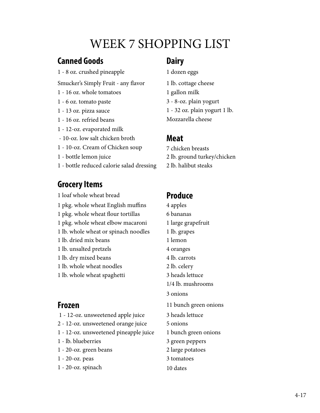## WEEK 7 SHOPPING LIST

### **Canned Goods**

1 - 8 oz. crushed pineapple

Smucker's Simply Fruit - any flavor

- 1 16 oz. whole tomatoes
- 1 6 oz. tomato paste
- 1 13 oz. pizza sauce
- 1 16 oz. refried beans
- 1 12-oz. evaporated milk
- 10-oz. low salt chicken broth
- 1 10-oz. Cream of Chicken soup
- 1 bottle lemon juice
- 1 bottle reduced calorie salad dressing 2 lb. halibut steaks

### **Grocery Items**

1 loaf whole wheat bread **Produce** 1 pkg. whole wheat English muffins 4 apples 1 pkg. whole wheat flour tortillas 6 bananas 1 pkg. whole wheat elbow macaroni 1 large grapefruit 1 lb. whole wheat or spinach noodles 1 lb. grapes 1 lb. dried mix beans 1 lemon 1 lb. unsalted pretzels 4 oranges 1 lb. dry mixed beans 4 lb. carrots 1 lb. whole wheat noodles 2 lb. celery 1 lb. whole wheat spaghetti 3 heads lettuce

- 1 12-oz. unsweetened apple juice 3 heads lettuce
- 2 12-oz. unsweetened orange juice 5 onions
- 1 12-oz. unsweetened pineapple juice 1 bunch green onions
- 
- 1 20-oz. green beans 2 large potatoes
- 
- $1 20 oz$ . spinach  $10$  dates

### **Dairy**

1 dozen eggs 1 lb. cottage cheese 1 gallon milk 3 - 8-oz. plain yogurt 1 - 32 oz. plain yogurt 1 lb. Mozzarella cheese

### **Meat**

- 7 chicken breasts
- 2 lb. ground turkey/chicken
- 

- 1/4 lb. mushrooms 3 onions **Frozen** 11 bunch green onions 1 - lb. blueberries 3 green peppers 1 - 20-oz. peas 3 tomatoes
	-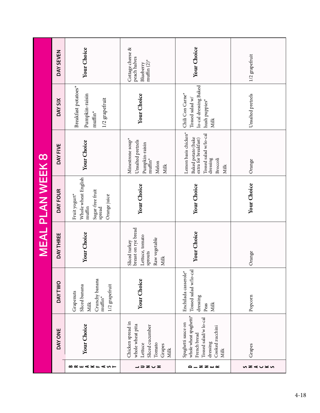|                         | DAY SEVEN     | Your Choice                                                                                                          | Cottage cheese &<br>peach halves<br>muffin $(2)^*$<br>Blueberry                                    | Your Choice                                                                                                                              | 1/2 grapefruit    |
|-------------------------|---------------|----------------------------------------------------------------------------------------------------------------------|----------------------------------------------------------------------------------------------------|------------------------------------------------------------------------------------------------------------------------------------------|-------------------|
|                         | DAY SIX       | Breakfast potatoes*<br>Pumpkin-raisin<br>1/2 grapefruit<br>$muffin^*$                                                | Your Choice                                                                                        | lo-cal dressing Baked<br>Chili Con Carne*<br>Tossed salad w/<br>hush puppies*<br>Milk                                                    | Unsalted pretzels |
|                         | DAY FIVE      | Your Choice                                                                                                          | Minestrone soup <sup>*</sup><br>Unsalted pretzels<br>Pumpkin-raisin<br>$muffin^*$<br>Melon<br>Milk | Lemon basis chicken*<br>Tossed salad w/lo-cal<br>Baked potato (bake<br>extra for breakfast)<br>dressing<br>Broccoli<br>Milk              | Orange            |
| <b>MEAL PLAN WEEK 8</b> | DAY FOUR      | Whole wheat English<br>Sugar-free fruit<br>Fruit yogurt*<br>Orange juice<br>$\mathop{\rm multim}\nolimits$<br>spread | Your Choice                                                                                        | Your Choice                                                                                                                              | Your Choice       |
|                         | DAY THREE     | Your Choice                                                                                                          | breast on rye bread<br>Lettuce, tomato<br>Raw vegetable<br>Sliced turkey<br>sprouts<br>Milk        | Your Choice                                                                                                                              | Orange            |
|                         | <b>DAYTWO</b> | Crunchy banana<br>muffin*<br>Sliced banana<br>1/2 grapefruit<br>Grapenuts<br><b>Milk</b>                             | Your Choice                                                                                        | Tossed salad w/lo-cal<br>Enchilada casserole*<br>dressing<br>Milk<br>Peas                                                                | Popcorn           |
|                         | DAY ONE       | Your Choice                                                                                                          | Chicken spread in<br>whole wheat pita<br>Sliced cucumber<br>Lettuce<br>Tomato<br>Grapes<br>Milk    | whole wheat spaghetti <sup>*</sup><br>Tossed salad/w lo-cal<br>Spaghetti sauce on<br>Cooked zucchini<br>French bread<br>dressing<br>Milk | Grapes            |
|                         |               | BREAKFAST                                                                                                            | ココヱぃェ                                                                                              | <b>a_zz</b> w∝                                                                                                                           | ぃ౽⋖∪≍ぃ            |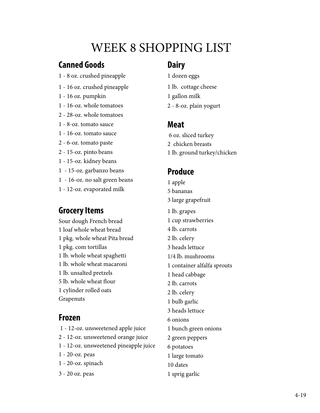## WEEK 8 SHOPPING LIST

### **Canned Goods**

- 1 8 oz. crushed pineapple
- 1 16 oz. crushed pineapple
- 1 16 oz. pumpkin
- 1 16-oz. whole tomatoes
- 2 28-oz. whole tomatoes
- 1 8-oz. tomato sauce
- 1 16-oz. tomato sauce
- 2 6-oz. tomato paste
- 2 15-oz. pinto beans
- 1 15-oz. kidney beans
- 1 15-oz. garbanzo beans
- 1 16-oz. no salt green beans
- 1 12-oz. evaporated milk

### **Grocery Items**

Sour dough French bread 1 loaf whole wheat bread 1 pkg. whole wheat Pita bread 1 pkg. com tortillas 1 lb. whole wheat spaghetti 1 lb. whole wheat macaroni 1 lb. unsalted pretzels 5 lb. whole wheat flour 1 cylinder rolled oats Grapenuts

### **Frozen**

- 1 12-oz. unsweetened apple juice
- 2 12-oz. unsweetened orange juice
- 1 12-oz. unsweetened pineapple juice
- 1 20-oz. peas
- 1 20-oz. spinach
- 3 20 oz. peas

### **Dairy**

- 1 dozen eggs
- 1 lb. cottage cheese
- 1 gallon milk
- 2 8-oz. plain yogurt

### **Meat**

- 6 oz. sliced turkey 2 chicken breasts 1 lb. ground turkey/chicken
- **Produce**
- 1 apple 5 bananas 3 large grapefruit 1 lb. grapes 1 cup strawberries 4 lb. carrots 2 lb. celery 3 heads lettuce 1/4 lb. mushrooms 1 container alfalfa sprouts 1 head cabbage 2 lb. carrots 2 lb. celery 1 bulb garlic 3 heads lettuce 6 onions 1 bunch green onions 2 green peppers 6 potatoes 1 large tomato 10 dates 1 sprig garlic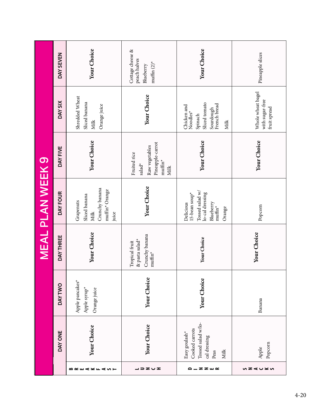|                         | DAY SEVEN     | Your Choice                                                                     | Cottage cheese &<br>peach halves<br>muffin $(2)^*$<br>Blueberry                              | Your Choice                                                                                                      | Pineapple slices                                     |
|-------------------------|---------------|---------------------------------------------------------------------------------|----------------------------------------------------------------------------------------------|------------------------------------------------------------------------------------------------------------------|------------------------------------------------------|
|                         | DAY SIX       | Shredded Wheat<br>Sliced banana<br>Orange juice<br>Milk                         | Your Choice                                                                                  | Sliced tomato<br>Sourdough<br>French bread<br>Chicken and<br>Noodles*<br>Spinach<br>Milk                         | Whole wheat bagel<br>with sugar-free<br>fruit spread |
|                         | DAY FIVE      | Your Choice                                                                     | Pineapple-carrot<br>Raw vegetables<br>Fruited rice<br>$muffn^*$<br>salad*<br>Milk            | Your Choice                                                                                                      | Your Choice                                          |
| <b>MEAL PLAN WEEK 9</b> | DAY FOUR      | Crunchy banana<br>muffin* Orange<br>Sliced banana<br>Grapenuts<br>Milk<br>juice | Your Choice                                                                                  | Tossed salad $\mathsf{w}/$<br>lo-cal dressing<br>15-bean soup*<br>Delicious<br>Blueberry<br>$muffin^*$<br>Orange | Popcorn                                              |
|                         | DAY THREE     | Your Choice                                                                     | Crunchy banana<br>& pasta salad*<br>Tropical fruit<br>$\mathop{\rm mult\,}\nolimits^{\star}$ | Your Choice                                                                                                      | Your Choice                                          |
|                         | <b>DAYTWO</b> | Apple pancakes*<br>Apple syrup*<br>Orange juice                                 | Your Choice                                                                                  | Your Choice                                                                                                      | Banana                                               |
|                         | DAY ONE       | Your Choice                                                                     | Your Choice                                                                                  | Tossed salad w/lo-<br>Cooked carrots<br>Easy goulash*<br>cal dressing<br>Milk<br>Peas                            | Popcorn<br>Apple                                     |
|                         |               | <b>△∝⊞⊄≍⊤</b><br>⋖ທ⊢                                                            | ヱ∪ェ<br>∍                                                                                     | <b>ZZW</b> ~<br>٥                                                                                                | ぃヱ๔∪⊻ぃ                                               |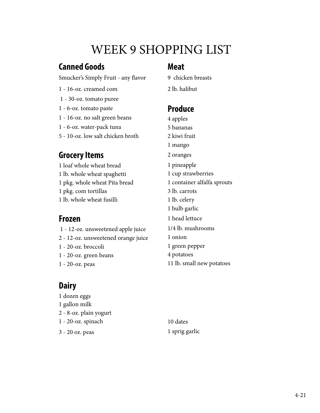## WEEK 9 SHOPPING LIST

### **Canned Goods**

Smucker's Simply Fruit - any flavor

- 1 16-oz. creamed com
- 1 30-oz. tomato puree
- 1 6-oz. tomato paste
- 1 16-oz. no salt green beans
- 1 6-oz. water-pack tuna
- 5 10-oz. low salt chicken broth

### **Grocery Items**

1 loaf whole wheat bread 1 lb. whole wheat spaghetti 1 pkg. whole wheat Pita bread 1 pkg. com tortillas 1 lb. whole wheat fusilli

### **Frozen**

- 1 12-oz. unsweetened apple juice 2 - 12-oz. unsweetened orange juice 1 - 20-oz. broccoli 1 - 20-oz. green beans
- 1 20-oz. peas

### **Dairy**

1 dozen eggs 1 gallon milk 2 - 8-oz. plain yogurt 1 - 20-oz. spinach 3 - 20 oz. peas 1 sprig garlic

### **Meat**

9 chicken breasts

2 lb. halibut

### **Produce**

4 apples 5 bananas 2 kiwi fruit 1 mango 2 oranges 1 pineapple 1 cup strawberries 1 container alfalfa sprouts 3 lb. carrots 1 lb. celery 1 bulb garlic 1 head lettuce 1/4 lb. mushrooms 1 onion 1 green pepper 4 potatoes 11 lb. small new potatoes

10 dates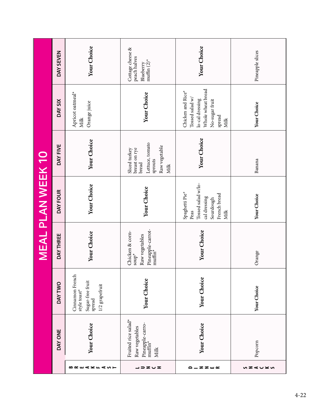|                          | DAY SEVEN     | Your Choice                                                                     | Cottage cheese &<br>peach halves<br>muffin $(2)^*$<br>Blueberry                                | Your Choice                                                                                                      | Pineapple slices |
|--------------------------|---------------|---------------------------------------------------------------------------------|------------------------------------------------------------------------------------------------|------------------------------------------------------------------------------------------------------------------|------------------|
|                          | DAY SIX       | Apricot oatmeal*<br>Orange juice<br>Milk                                        | Your Choice                                                                                    | Whole wheat bread<br>Chicken and Rice*<br>Tossed salad w/<br>lo-cal dressing<br>No-sugar fruit<br>spread<br>Milk | Your Choice      |
|                          | DAY FIVE      | Your Choice                                                                     | Lettuce, tomato<br>Raw vegetable<br>breast on rye<br>Sliced turkey<br>sprouts<br>bread<br>Milk | Your Choice                                                                                                      | Banana           |
| <b>MEAL PLAN WEEK 10</b> | DAY FOUR      | Your Choice                                                                     | Your Choice                                                                                    | Tossed salad w/lo-<br>Spaghetti Pie <sup>*</sup><br>French bread<br>cal dressing<br>Sourdough<br>Milk<br>Peas    | Your Choice      |
|                          | DAY THREE     | Your Choice                                                                     | Pineapple-carrot-<br>muffin*<br>Chicken & corn-<br>Raw vegetables<br>${\sf sup}^{\star}$       | Your Choice                                                                                                      | Orange           |
|                          | <b>DAYTWO</b> | Cinnamon French<br>Sugar-free fruit<br>1/2 grapefruit<br>style toast*<br>spread | Your Choice                                                                                    | Your Choice                                                                                                      | Your Choice      |
|                          | DAY ONE       | Your Choice                                                                     | Fruited rice salad*<br>Pineapple-carro-<br>muffin*<br>Raw vegetables<br><b>Milk</b>            | Your Choice                                                                                                      | Popcorn          |
|                          |               | ⋖≚≖<br>40F<br>๛∝๛                                                               | ココヱぃェ                                                                                          | <b>ZZW</b><br>٥                                                                                                  | ぃヱ๔∪⊻ぃ           |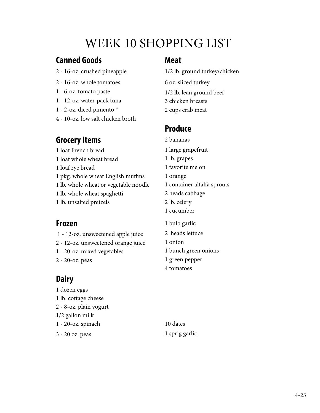## WEEK 10 SHOPPING LIST

### **Canned Goods**

- 2 16-oz. crushed pineapple
- 2 16-oz. whole tomatoes
- 1 6-oz. tomato paste
- 1 12-oz. water-pack tuna
- 1 2-oz. diced pimento "
- 4 10-oz. low salt chicken broth

### **Grocery Items**

### 1 loaf French bread

- 1 loaf whole wheat bread
- 1 loaf rye bread
- 1 pkg. whole wheat English muffins
- 1 lb. whole wheat or vegetable noodle
- 1 lb. whole wheat spaghetti
- 1 lb. unsalted pretzels

### **Frozen**

### 1 - 12-oz. unsweetened apple juice

- 2 12-oz. unsweetened orange juice
- 1 20-oz. mixed vegetables
- 2 20-oz. peas

### **Dairy**

1 dozen eggs 1 lb. cottage cheese 2 - 8-oz. plain yogurt 1/2 gallon milk 1 - 20-oz. spinach 3 - 20 oz. peas 1 sprig garlic

### **Meat**

1/2 lb. ground turkey/chicken 6 oz. sliced turkey 1/2 lb. lean ground beef 3 chicken breasts 2 cups crab meat

### **Produce**

- 2 bananas
- 1 large grapefruit
- 1 lb. grapes
- 1 favorite melon
- 1 orange
- 1 container alfalfa sprouts
- 2 heads cabbage
- 2 lb. celery
- 1 cucumber
- 1 bulb garlic
- 2 heads lettuce
- 1 onion
- 1 bunch green onions
- 1 green pepper
- 4 tomatoes

10 dates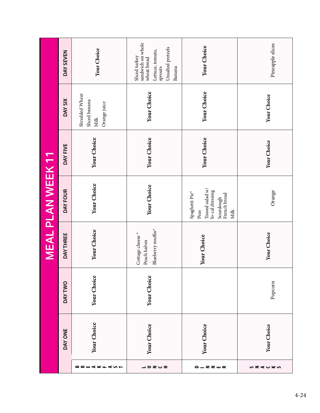|                      |             |               |                                                      | <b>MEAL PLAN WEEK 11</b>                                                                                      |             |                                                         |                                                                                                                 |
|----------------------|-------------|---------------|------------------------------------------------------|---------------------------------------------------------------------------------------------------------------|-------------|---------------------------------------------------------|-----------------------------------------------------------------------------------------------------------------|
|                      | DAY ONE     | <b>DAYTWO</b> | DAY THREE                                            | DAY FOUR                                                                                                      | DAY FIVE    | DAY SIX                                                 | DAY SEVEN                                                                                                       |
| <b>BREAKFA</b><br>∽⊢ | Your Choice | Your Choice   | Your Choice                                          | Your Choice                                                                                                   | Your Choice | Shredded Wheat<br>Sliced banana<br>Orange juice<br>Milk | Your Choice                                                                                                     |
| ココヱぃェ                | Your Choice | Your Choice   | Blueberry muffin*<br>Cottage cheese*<br>Peach halves | Your Choice                                                                                                   | Your Choice | Your Choice                                             | sandwich on whole<br>Unsalted pretzels<br>Lettuce, tomato,<br>Sliced turkey<br>wheat bread<br>sprouts<br>Banana |
| <b>a_zz</b> w∝       | Your Choice |               | Your Choice                                          | Tossed salad w/<br>lo-cal dressing<br>Spaghetti Pie <sup>*</sup><br>French bread<br>Sourdough<br>Peas<br>Milk | Your Choice | Your Choice                                             | Your Choice                                                                                                     |
| ぃ౽⋖∪≍ぃ               | Your Choice | Popcorn       | Your Choice                                          | Orange                                                                                                        | Your Choice | Your Choice                                             | Pineapple slices                                                                                                |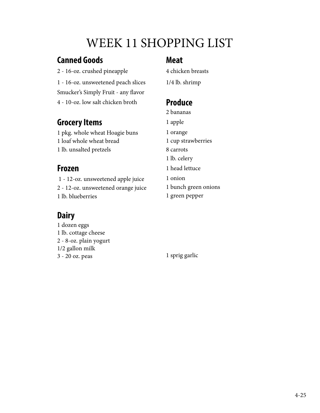## WEEK 11 SHOPPING LIST

### **Canned Goods**

- 2 16-oz. crushed pineapple
- 1 16-oz. unsweetened peach slices
- Smucker's Simply Fruit any flavor
- 4 10-oz. low salt chicken broth

### **Grocery Items**

1 pkg. whole wheat Hoagie buns 1 loaf whole wheat bread 1 lb. unsalted pretzels

### **Frozen**

 1 - 12-oz. unsweetened apple juice 2 - 12-oz. unsweetened orange juice 1 lb. blueberries

### **Dairy**

1 dozen eggs 1 lb. cottage cheese 2 - 8-oz. plain yogurt 1/2 gallon milk 3 - 20 oz. peas 1 sprig garlic

### **Meat**

4 chicken breasts

1/4 lb. shrimp

### **Produce**

2 bananas

1 apple

1 orange

- 1 cup strawberries
- 8 carrots
- 1 lb. celery
- 1 head lettuce
- 1 onion
- 1 bunch green onions
- 1 green pepper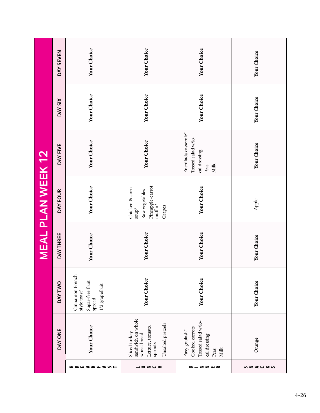|                                                                                                       |                                                                                 |             | <b>MEAL PLAN WEEK 12</b>                                                                             |                                                                            |             |             |
|-------------------------------------------------------------------------------------------------------|---------------------------------------------------------------------------------|-------------|------------------------------------------------------------------------------------------------------|----------------------------------------------------------------------------|-------------|-------------|
| DAY ONE                                                                                               | <b>DAYTWO</b>                                                                   | DAY THREE   | DAY FOUR                                                                                             | DAY FIVE                                                                   | DAY SIX     | DAY SEVEN   |
| Your Choice                                                                                           | Cinnamon French<br>Sugar-free fruit<br>1/2 grapefruit<br>style toast*<br>spread | Your Choice | Your Choice                                                                                          | Your Choice                                                                | Your Choice | Your Choice |
| sandwich on whole<br>Unsalted pretzels<br>Lettuce, tomato,<br>Sliced turkey<br>wheat bread<br>sprouts | Your Choice                                                                     | Your Choice | Pineapple-carrot<br>Chicken & corn<br>Raw vegetables<br>$muffin^*$<br>Grapes<br>$\mathsf{sup}^\star$ | Your Choice                                                                | Your Choice | Your Choice |
| Tossed salad w/lo-<br>Cooked carrots<br>Easy goulash*<br>cal dressing<br>Milk<br>Peas                 | Your Choice                                                                     | Your Choice | Your Choice                                                                                          | Enchilada casserole*<br>Tossed salad w/lo-<br>cal dressing<br>Milk<br>Peas | Your Choice | Your Choice |
| Orange                                                                                                | Your Choice                                                                     | Your Choice | Apple                                                                                                | Your Choice                                                                | Your Choice | Your Choice |